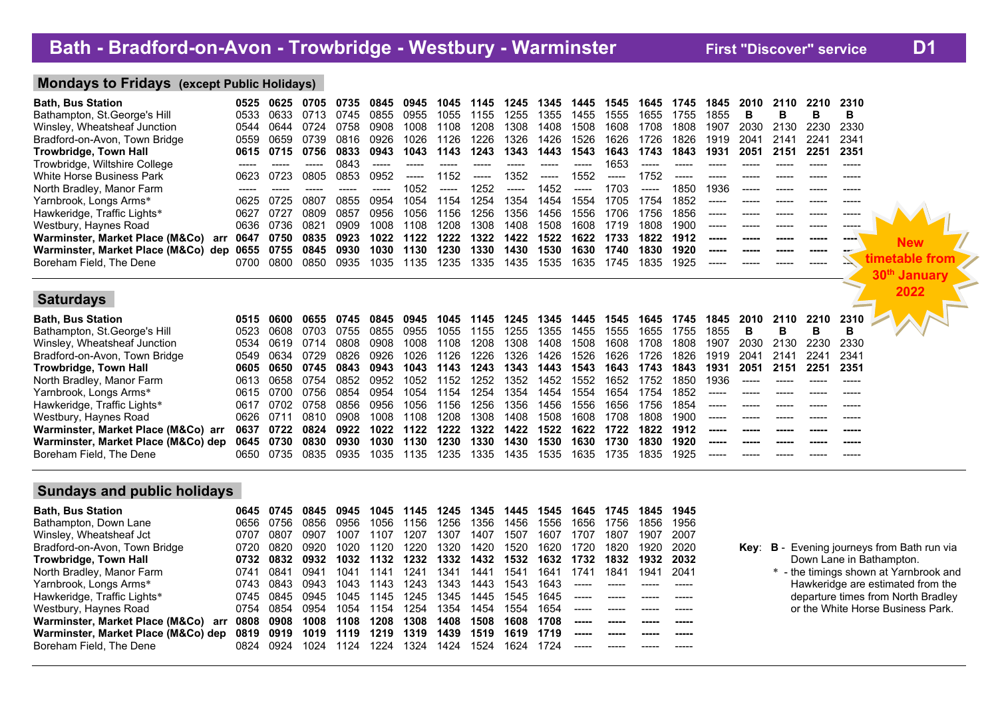# **.Mondays to Fridays (except Public Holidays) .**

| <b>Bath, Bus Station</b><br>Bathampton, St. George's Hill<br>Winsley, Wheatsheaf Junction<br>Bradford-on-Avon, Town Bridge<br>Trowbridge, Town Hall<br>Trowbridge, Wiltshire College<br>White Horse Business Park<br>North Bradley, Manor Farm<br>Yarnbrook, Longs Arms*<br>Hawkeridge, Traffic Lights*<br>Westbury, Haynes Road<br>Warminster, Market Place (M&Co)<br>arr<br>Warminster, Market Place (M&Co) dep<br>Boreham Field, The Dene | 0525<br>0533<br>0544<br>0559<br>0615<br>0623<br>-----<br>0625<br>0627<br>0636<br>0647<br>0655<br>0700 | 0625<br>0633<br>0644<br>0659<br>0715<br>0723<br>0725<br>0727<br>0736<br>0750<br>0755<br>0800 | 0705<br>0713<br>0724<br>0739<br>0756<br>0805<br>0807<br>0809<br>0821<br>0835<br>0845<br>0850 | 0735<br>0745<br>0758<br>0816<br>0833<br>0843<br>0853<br>0855<br>0857<br>0909<br>0923<br>0930<br>0935 | 0845<br>0855<br>0908<br>0926<br>0943<br>-----<br>0952<br>-----<br>0954<br>0956<br>1008<br>1022<br>1030<br>1035 | 0945<br>0955<br>1008<br>1026<br>1043<br>-----<br>1052<br>1054<br>1056<br>1108<br>1122<br>1130<br>1135 | 1045<br>1055<br>1108<br>1126<br>1143<br>1152<br>-----<br>1154<br>1156<br>1208<br>1222<br>1230<br>1235 | 1145<br>1155<br>1208<br>1226<br>1243<br>-----<br>1252<br>1254<br>1256<br>1308<br>1322<br>1330<br>1335 | 1245<br>1255<br>1308<br>1326<br>1343<br>1352<br>------<br>1354<br>1356<br>1408<br>1422<br>1430<br>1435 | 1345<br>1355<br>1408<br>1426<br>1443<br>$--- -$<br>1452<br>1454<br>1456<br>1508<br>1522<br>1530<br>1535 | 1445<br>1455<br>1508<br>1526<br>1543<br>-----<br>1552<br>-----<br>1554<br>1556<br>1608<br>1622<br>1630<br>1635 | 1545<br>1555<br>1608<br>1626<br>1643<br>1653<br>-----<br>1703<br>1705<br>1706<br>1719<br>1733<br>1740<br>1745 | 1645<br>1655<br>1708<br>1726<br>1743<br>-----<br>1752<br>-----<br>1754<br>1756<br>1808<br>1822<br>1830<br>1835 | 1745<br>1755<br>1808<br>1826<br>1843<br>-----<br>1850<br>1852<br>1856<br>1900<br>1912<br>1920<br>1925 | 1845<br>1855<br>1907<br>1919<br>1931<br>-----<br>1936<br>-----<br>-----<br>-----<br>----- | 2010<br>2030<br>2041<br>2051      | 2110<br>в<br>2130<br>2141<br>2151 | 2210<br>в<br>2230<br>2241<br>2251<br>-----<br>----- | 2310<br>В<br>2330<br>2341<br>2351<br>-----<br>-----<br>-----<br>---- | <b>New</b><br>imetable<br>-troi<br>30 <sup>th</sup> January |
|----------------------------------------------------------------------------------------------------------------------------------------------------------------------------------------------------------------------------------------------------------------------------------------------------------------------------------------------------------------------------------------------------------------------------------------------|-------------------------------------------------------------------------------------------------------|----------------------------------------------------------------------------------------------|----------------------------------------------------------------------------------------------|------------------------------------------------------------------------------------------------------|----------------------------------------------------------------------------------------------------------------|-------------------------------------------------------------------------------------------------------|-------------------------------------------------------------------------------------------------------|-------------------------------------------------------------------------------------------------------|--------------------------------------------------------------------------------------------------------|---------------------------------------------------------------------------------------------------------|----------------------------------------------------------------------------------------------------------------|---------------------------------------------------------------------------------------------------------------|----------------------------------------------------------------------------------------------------------------|-------------------------------------------------------------------------------------------------------|-------------------------------------------------------------------------------------------|-----------------------------------|-----------------------------------|-----------------------------------------------------|----------------------------------------------------------------------|-------------------------------------------------------------|
| <b>Saturdays</b><br><b>Bath, Bus Station</b><br>Bathampton, St. George's Hill<br>Winsley, Wheatsheaf Junction<br>Bradford-on-Avon, Town Bridge<br><b>Trowbridge, Town Hall</b><br>North Bradley, Manor Farm                                                                                                                                                                                                                                  | 0515<br>0523<br>0534<br>0549<br>0605<br>0613                                                          | 0600<br>0608<br>0619<br>0634<br>0650<br>0658                                                 | 0655<br>0703<br>0714<br>0729<br>0745<br>0754                                                 | 0745<br>0755<br>0808<br>0826<br>0843<br>0852                                                         | 0845<br>0855<br>0908<br>0926<br>0943<br>0952                                                                   | 0945<br>0955<br>1008<br>1026<br>1043<br>1052                                                          | 1045<br>1055<br>1108<br>1126<br>1143<br>1152                                                          | 1145<br>1155<br>1208<br>1226<br>1243<br>1252                                                          | 1245<br>1255<br>1308<br>1326<br>1343<br>1352                                                           | 1345<br>1355<br>1408<br>1426<br>1443<br>1452                                                            | 1445<br>1455<br>1508<br>1526<br>1543<br>1552                                                                   | 1545<br>1555<br>1608<br>1626<br>1643<br>1652                                                                  | 1645<br>1655<br>1708<br>1726<br>1743<br>1752                                                                   | 1745<br>1755<br>1808<br>1826<br>1843<br>1850                                                          | 1845<br>1855<br>1907<br>1919<br>1931<br>1936                                              | 2010<br>в<br>2030<br>2041<br>2051 | 2110<br>в<br>2130<br>2141<br>2151 | 2210<br>в<br>2230<br>2241<br>2251                   | 2310<br>в<br>2330<br>2341<br>2351                                    | 2022                                                        |

| Yarnbrook, Longs Arms*                                                                                          |  |                          |  |  | 0615 0700 0756 0854 0954 1054 1154 1254 1354 1454 1554                |      |      |      |           | 1654 1754 1852 |        |  |       |
|-----------------------------------------------------------------------------------------------------------------|--|--------------------------|--|--|-----------------------------------------------------------------------|------|------|------|-----------|----------------|--------|--|-------|
| Hawkeridge, Traffic Lights*                                                                                     |  | 0617 0702 0758 0856 0956 |  |  | 1056 1156 1256 1356                                                   | 1456 | 1556 | 1656 | 1756 1854 |                |        |  |       |
| Westbury, Haynes Road                                                                                           |  | 0626 0711 0810 0908      |  |  | 1008  1108  1208  1308  1408  1508  1608  1708  1808  1900            |      |      |      |           |                | ______ |  |       |
| Warminster, Market Place (M&Co) arr 0637 0722 0824 0922 1022 1122 1222 1322 1422 1522 1622 1722 1822 1912 ----- |  |                          |  |  |                                                                       |      |      |      |           |                |        |  | ----- |
| Warminster, Market Place (M&Co) dep 0645 0730 0830 0930 1030 1130 1230 1330 1430 1530 1630 1730                 |  |                          |  |  |                                                                       |      |      |      |           | 1830 1920      | ------ |  | ----- |
| Boreham Field, The Dene                                                                                         |  |                          |  |  | 0650 0735 0835 0935 1035 1135 1235 1335 1435 1535 1635 1735 1835 1925 |      |      |      |           |                | ______ |  |       |
|                                                                                                                 |  |                          |  |  |                                                                       |      |      |      |           |                |        |  |       |

# **.Sundays and public holidays .**

| Bath, Bus Station                      | 0645  | 0745 | 0845 | 0945 | 1045 | 1145 | 1245                     | 1345 | 1445 | 1545 | 1645 | 1745 | 1845      | 1945  |  |
|----------------------------------------|-------|------|------|------|------|------|--------------------------|------|------|------|------|------|-----------|-------|--|
| Bathampton, Down Lane                  | 0656  | 0756 | 0856 | 0956 | 1056 | 1156 | 1256                     | 1356 | 1456 | 1556 | 1656 | 1756 | 1856      | 1956  |  |
| Winsley, Wheatsheaf Jct                | 0707  | 0807 | 0907 | 1007 | 1107 | 1207 | 1307                     | 1407 | 1507 | 1607 | 1707 | 1807 | 1907      | 2007  |  |
| Bradford-on-Avon, Town Bridge          | 0720  | 0820 | 0920 | 1020 | 1120 | 1220 | 1320                     | 1420 | 1520 | 1620 | 1720 | 1820 | 1920      | -2020 |  |
| Trowbridge, Town Hall                  | 0732  | 0832 | 0932 |      |      |      | 1032 1132 1232 1332 1432 |      | 1532 | 1632 | 1732 | 1832 | 1932 2032 |       |  |
| North Bradley, Manor Farm              | 0741  | 0841 | 0941 | 1041 | 1141 | 1241 | 1341                     | 1441 | 1541 | 1641 | 1741 | 1841 | 1941      | -2041 |  |
| Yarnbrook, Longs Arms*                 | 0743. | 0843 | 0943 | 1043 | 1143 | 1243 | 1343                     | 1443 | 1543 | 1643 |      |      |           |       |  |
| Hawkeridge, Traffic Lights*            | 0745  | 0845 | 0945 | 1045 | 1145 | 1245 | 1345                     | 1445 | 1545 | 1645 |      |      |           |       |  |
| Westbury, Haynes Road                  | 0754  | 0854 | 0954 | 1054 | 1154 | 1254 | 1354                     | 1454 | 1554 | 1654 |      |      |           |       |  |
| Warminster, Market Place (M&Co)<br>arr | 0808  | 0908 | 1008 | 1108 | 1208 | 1308 | 1408                     | 1508 | 1608 | 1708 |      |      |           |       |  |
| Warminster, Market Place (M&Co) dep    | 0819  | 0919 | 1019 | 1119 | 1219 | 1319 | 1439                     | 1519 | 1619 | 1719 |      |      |           |       |  |
| Boreham Field, The Dene                | 0824  | 0924 | 1024 | 1124 | 1224 | 1324 | 1424                     | 1524 | 1624 | 1724 |      |      |           |       |  |
|                                        |       |      |      |      |      |      |                          |      |      |      |      |      |           |       |  |

- Key: B Evening journeys from Bath run via **Trowbridge, Town Hall 0732 0832 0932 1032 1132 1232 1332 1432 1532 1632 1732 1832 1932 2032** Down Lane in Bathampton.
	- \* the timings shown at Yarnbrook and Hawkeridge are estimated from the departure times from North Bradley or the White Horse Business Park.